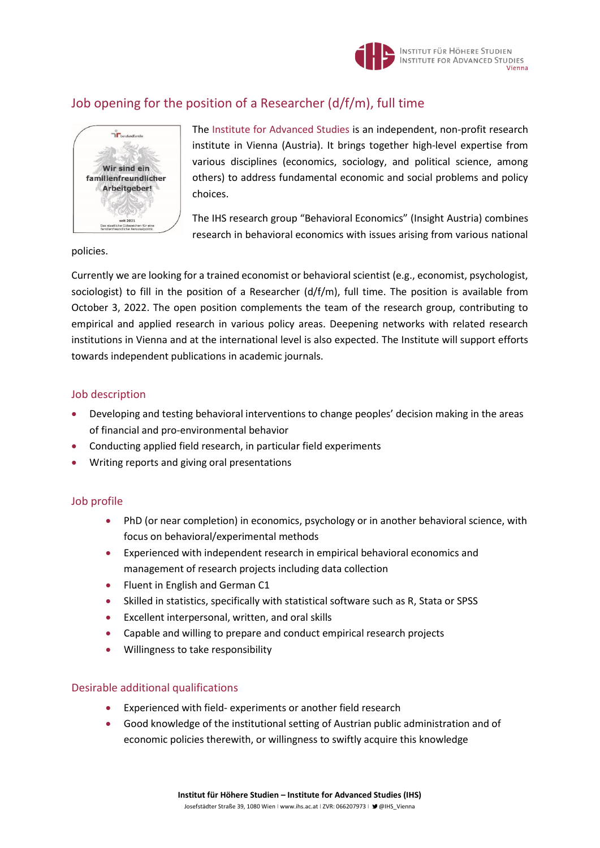

# Job opening for the position of a Researcher (d/f/m), full time



The Institute [for Advanced Studies](https://www.ihs.ac.at/) is an independent, non-profit research institute in Vienna (Austria). It brings together high-level expertise from various disciplines (economics, sociology, and political science, among others) to address fundamental economic and social problems and policy choices.

The IHS research group "Behavioral Economics" (Insight Austria) combines research in behavioral economics with issues arising from various national

policies.

Currently we are looking for a trained economist or behavioral scientist (e.g., economist, psychologist, sociologist) to fill in the position of a Researcher (d/f/m), full time. The position is available from October 3, 2022. The open position complements the team of the research group, contributing to empirical and applied research in various policy areas. Deepening networks with related research institutions in Vienna and at the international level is also expected. The Institute will support efforts towards independent publications in academic journals.

### Job description

- Developing and testing behavioral interventions to change peoples' decision making in the areas of financial and pro-environmental behavior
- Conducting applied field research, in particular field experiments
- Writing reports and giving oral presentations

# Job profile

- PhD (or near completion) in economics, psychology or in another behavioral science, with focus on behavioral/experimental methods
- Experienced with independent research in empirical behavioral economics and management of research projects including data collection
- Fluent in English and German C1
- Skilled in statistics, specifically with statistical software such as R, Stata or SPSS
- Excellent interpersonal, written, and oral skills
- Capable and willing to prepare and conduct empirical research projects
- Willingness to take responsibility

#### Desirable additional qualifications

- Experienced with field- experiments or another field research
- Good knowledge of the institutional setting of Austrian public administration and of economic policies therewith, or willingness to swiftly acquire this knowledge